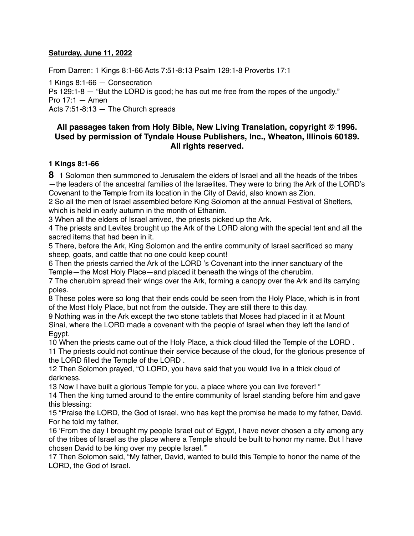#### **Saturday, June 11, 2022**

From Darren: 1 Kings 8:1-66 Acts 7:51-8:13 Psalm 129:1-8 Proverbs 17:1

1 Kings 8:1-66 — Consecration Ps 129:1-8 — "But the LORD is good; he has cut me free from the ropes of the ungodly." Pro 17:1 — Amen Acts 7:51-8:13 — The Church spreads

### **All passages taken from Holy Bible, [New Living Translation](http://www.newlivingtranslation.com/), copyright © 1996. Used by permission of [Tyndale House Publishers](http://tyndale.com/), Inc., Wheaton, Illinois 60189. All rights reserved.**

#### **1 Kings 8:1-66**

**8** 1 Solomon then summoned to Jerusalem the elders of Israel and all the heads of the tribes —the leaders of the ancestral families of the Israelites. They were to bring the Ark of the LORD's Covenant to the Temple from its location in the City of David, also known as Zion.

2 So all the men of Israel assembled before King Solomon at the annual Festival of Shelters, which is held in early autumn in the month of Ethanim.

3 When all the elders of Israel arrived, the priests picked up the Ark.

4 The priests and Levites brought up the Ark of the LORD along with the special tent and all the sacred items that had been in it.

5 There, before the Ark, King Solomon and the entire community of Israel sacrificed so many sheep, goats, and cattle that no one could keep count!

6 Then the priests carried the Ark of the LORD 's Covenant into the inner sanctuary of the Temple—the Most Holy Place—and placed it beneath the wings of the cherubim.

7 The cherubim spread their wings over the Ark, forming a canopy over the Ark and its carrying poles.

8 These poles were so long that their ends could be seen from the Holy Place, which is in front of the Most Holy Place, but not from the outside. They are still there to this day.

9 Nothing was in the Ark except the two stone tablets that Moses had placed in it at Mount Sinai, where the LORD made a covenant with the people of Israel when they left the land of Egypt.

10 When the priests came out of the Holy Place, a thick cloud filled the Temple of the LORD . 11 The priests could not continue their service because of the cloud, for the glorious presence of the LORD filled the Temple of the LORD .

12 Then Solomon prayed, "O LORD, you have said that you would live in a thick cloud of darkness.

13 Now I have built a glorious Temple for you, a place where you can live forever! "

14 Then the king turned around to the entire community of Israel standing before him and gave this blessing:

15 "Praise the LORD, the God of Israel, who has kept the promise he made to my father, David. For he told my father,

16 'From the day I brought my people Israel out of Egypt, I have never chosen a city among any of the tribes of Israel as the place where a Temple should be built to honor my name. But I have chosen David to be king over my people Israel.'"

17 Then Solomon said, "My father, David, wanted to build this Temple to honor the name of the LORD, the God of Israel.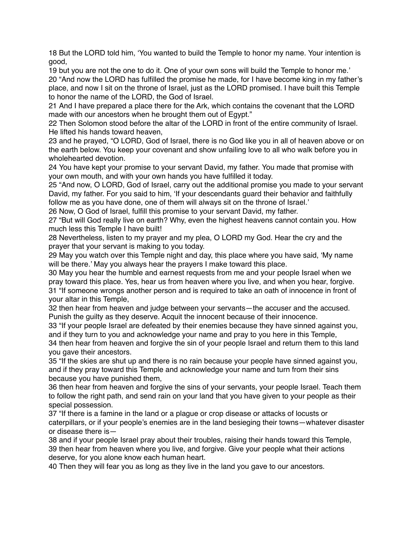18 But the LORD told him, 'You wanted to build the Temple to honor my name. Your intention is good,

19 but you are not the one to do it. One of your own sons will build the Temple to honor me.' 20 "And now the LORD has fulfilled the promise he made, for I have become king in my father's place, and now I sit on the throne of Israel, just as the LORD promised. I have built this Temple to honor the name of the LORD, the God of Israel.

21 And I have prepared a place there for the Ark, which contains the covenant that the LORD made with our ancestors when he brought them out of Egypt."

22 Then Solomon stood before the altar of the LORD in front of the entire community of Israel. He lifted his hands toward heaven,

23 and he prayed, "O LORD, God of Israel, there is no God like you in all of heaven above or on the earth below. You keep your covenant and show unfailing love to all who walk before you in wholehearted devotion.

24 You have kept your promise to your servant David, my father. You made that promise with your own mouth, and with your own hands you have fulfilled it today.

25 "And now, O LORD, God of Israel, carry out the additional promise you made to your servant David, my father. For you said to him, 'If your descendants guard their behavior and faithfully follow me as you have done, one of them will always sit on the throne of Israel.'

26 Now, O God of Israel, fulfill this promise to your servant David, my father.

27 "But will God really live on earth? Why, even the highest heavens cannot contain you. How much less this Temple I have built!

28 Nevertheless, listen to my prayer and my plea, O LORD my God. Hear the cry and the prayer that your servant is making to you today.

29 May you watch over this Temple night and day, this place where you have said, 'My name will be there.' May you always hear the prayers I make toward this place.

30 May you hear the humble and earnest requests from me and your people Israel when we pray toward this place. Yes, hear us from heaven where you live, and when you hear, forgive. 31 "If someone wrongs another person and is required to take an oath of innocence in front of your altar in this Temple,

32 then hear from heaven and judge between your servants—the accuser and the accused. Punish the guilty as they deserve. Acquit the innocent because of their innocence.

33 "If your people Israel are defeated by their enemies because they have sinned against you, and if they turn to you and acknowledge your name and pray to you here in this Temple,

34 then hear from heaven and forgive the sin of your people Israel and return them to this land you gave their ancestors.

35 "If the skies are shut up and there is no rain because your people have sinned against you, and if they pray toward this Temple and acknowledge your name and turn from their sins because you have punished them,

36 then hear from heaven and forgive the sins of your servants, your people Israel. Teach them to follow the right path, and send rain on your land that you have given to your people as their special possession.

37 "If there is a famine in the land or a plague or crop disease or attacks of locusts or caterpillars, or if your people's enemies are in the land besieging their towns—whatever disaster or disease there is—

38 and if your people Israel pray about their troubles, raising their hands toward this Temple, 39 then hear from heaven where you live, and forgive. Give your people what their actions deserve, for you alone know each human heart.

40 Then they will fear you as long as they live in the land you gave to our ancestors.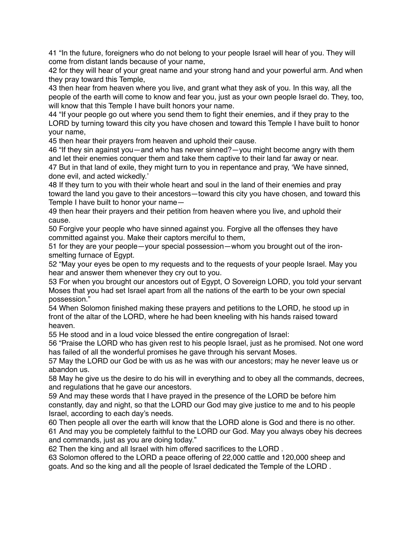41 "In the future, foreigners who do not belong to your people Israel will hear of you. They will come from distant lands because of your name,

42 for they will hear of your great name and your strong hand and your powerful arm. And when they pray toward this Temple,

43 then hear from heaven where you live, and grant what they ask of you. In this way, all the people of the earth will come to know and fear you, just as your own people Israel do. They, too, will know that this Temple I have built honors your name.

44 "If your people go out where you send them to fight their enemies, and if they pray to the LORD by turning toward this city you have chosen and toward this Temple I have built to honor your name,

45 then hear their prayers from heaven and uphold their cause.

46 "If they sin against you—and who has never sinned?—you might become angry with them and let their enemies conquer them and take them captive to their land far away or near. 47 But in that land of exile, they might turn to you in repentance and pray, 'We have sinned, done evil, and acted wickedly.'

48 If they turn to you with their whole heart and soul in the land of their enemies and pray toward the land you gave to their ancestors—toward this city you have chosen, and toward this Temple I have built to honor your name—

49 then hear their prayers and their petition from heaven where you live, and uphold their cause.

50 Forgive your people who have sinned against you. Forgive all the offenses they have committed against you. Make their captors merciful to them,

51 for they are your people—your special possession—whom you brought out of the ironsmelting furnace of Egypt.

52 "May your eyes be open to my requests and to the requests of your people Israel. May you hear and answer them whenever they cry out to you.

53 For when you brought our ancestors out of Egypt, O Sovereign LORD, you told your servant Moses that you had set Israel apart from all the nations of the earth to be your own special possession."

54 When Solomon finished making these prayers and petitions to the LORD, he stood up in front of the altar of the LORD, where he had been kneeling with his hands raised toward heaven.

55 He stood and in a loud voice blessed the entire congregation of Israel:

56 "Praise the LORD who has given rest to his people Israel, just as he promised. Not one word has failed of all the wonderful promises he gave through his servant Moses.

57 May the LORD our God be with us as he was with our ancestors; may he never leave us or abandon us.

58 May he give us the desire to do his will in everything and to obey all the commands, decrees, and regulations that he gave our ancestors.

59 And may these words that I have prayed in the presence of the LORD be before him constantly, day and night, so that the LORD our God may give justice to me and to his people Israel, according to each day's needs.

60 Then people all over the earth will know that the LORD alone is God and there is no other. 61 And may you be completely faithful to the LORD our God. May you always obey his decrees and commands, just as you are doing today."

62 Then the king and all Israel with him offered sacrifices to the LORD .

63 Solomon offered to the LORD a peace offering of 22,000 cattle and 120,000 sheep and goats. And so the king and all the people of Israel dedicated the Temple of the LORD .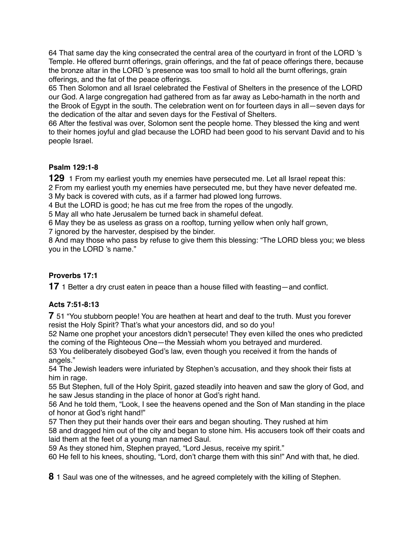64 That same day the king consecrated the central area of the courtyard in front of the LORD 's Temple. He offered burnt offerings, grain offerings, and the fat of peace offerings there, because the bronze altar in the LORD 's presence was too small to hold all the burnt offerings, grain offerings, and the fat of the peace offerings.

65 Then Solomon and all Israel celebrated the Festival of Shelters in the presence of the LORD our God. A large congregation had gathered from as far away as Lebo-hamath in the north and the Brook of Egypt in the south. The celebration went on for fourteen days in all—seven days for the dedication of the altar and seven days for the Festival of Shelters.

66 After the festival was over, Solomon sent the people home. They blessed the king and went to their homes joyful and glad because the LORD had been good to his servant David and to his people Israel.

### **Psalm 129:1-8**

**129** 1 From my earliest youth my enemies have persecuted me. Let all Israel repeat this:

2 From my earliest youth my enemies have persecuted me, but they have never defeated me.

3 My back is covered with cuts, as if a farmer had plowed long furrows.

4 But the LORD is good; he has cut me free from the ropes of the ungodly.

5 May all who hate Jerusalem be turned back in shameful defeat.

6 May they be as useless as grass on a rooftop, turning yellow when only half grown,

7 ignored by the harvester, despised by the binder.

8 And may those who pass by refuse to give them this blessing: "The LORD bless you; we bless you in the LORD 's name."

# **Proverbs 17:1**

**17** 1 Better a dry crust eaten in peace than a house filled with feasting—and conflict.

# **Acts 7:51-8:13**

**7** 51 "You stubborn people! You are heathen at heart and deaf to the truth. Must you forever resist the Holy Spirit? That's what your ancestors did, and so do you!

52 Name one prophet your ancestors didn't persecute! They even killed the ones who predicted the coming of the Righteous One—the Messiah whom you betrayed and murdered.

53 You deliberately disobeyed God's law, even though you received it from the hands of angels."

54 The Jewish leaders were infuriated by Stephen's accusation, and they shook their fists at him in rage.

55 But Stephen, full of the Holy Spirit, gazed steadily into heaven and saw the glory of God, and he saw Jesus standing in the place of honor at God's right hand.

56 And he told them, "Look, I see the heavens opened and the Son of Man standing in the place of honor at God's right hand!"

57 Then they put their hands over their ears and began shouting. They rushed at him 58 and dragged him out of the city and began to stone him. His accusers took off their coats and laid them at the feet of a young man named Saul.

59 As they stoned him, Stephen prayed, "Lord Jesus, receive my spirit."

60 He fell to his knees, shouting, "Lord, don't charge them with this sin!" And with that, he died.

**8** 1 Saul was one of the witnesses, and he agreed completely with the killing of Stephen.